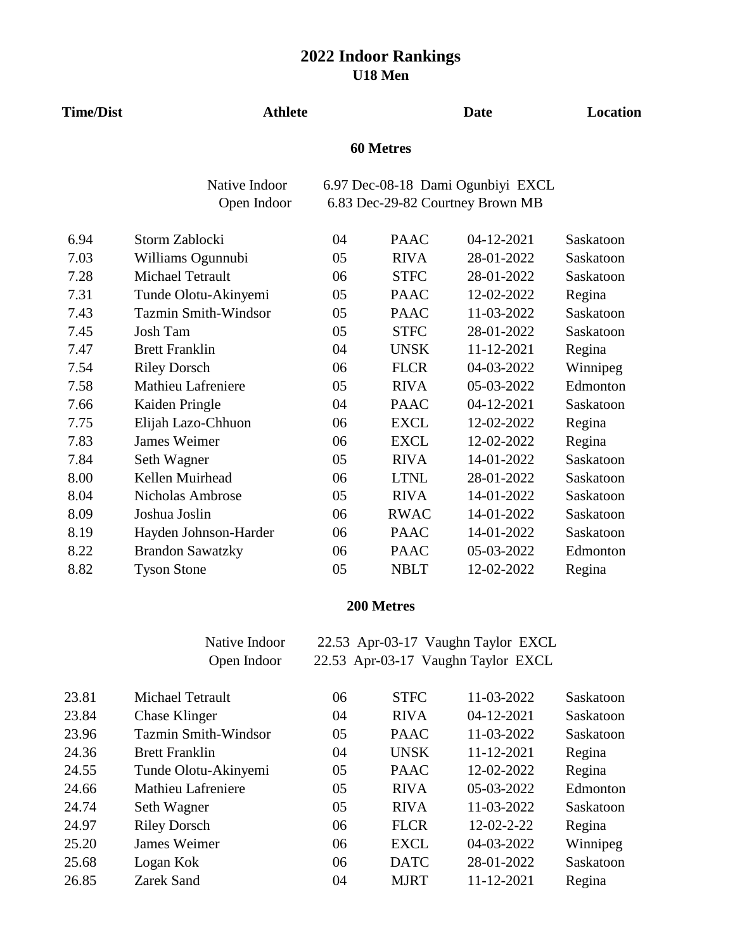| <b>Time/Dist</b> | <b>Athlete</b>              |    | Location    |                                   |           |  |  |  |
|------------------|-----------------------------|----|-------------|-----------------------------------|-----------|--|--|--|
|                  | <b>60 Metres</b>            |    |             |                                   |           |  |  |  |
|                  | Native Indoor               |    |             | 6.97 Dec-08-18 Dami Ogunbiyi EXCL |           |  |  |  |
|                  | Open Indoor                 |    |             | 6.83 Dec-29-82 Courtney Brown MB  |           |  |  |  |
| 6.94             | Storm Zablocki              | 04 | <b>PAAC</b> | 04-12-2021                        | Saskatoon |  |  |  |
| 7.03             | Williams Ogunnubi           | 05 | <b>RIVA</b> | 28-01-2022                        | Saskatoon |  |  |  |
| 7.28             | Michael Tetrault            | 06 | <b>STFC</b> | 28-01-2022                        | Saskatoon |  |  |  |
| 7.31             | Tunde Olotu-Akinyemi        | 05 | <b>PAAC</b> | 12-02-2022                        | Regina    |  |  |  |
| 7.43             | <b>Tazmin Smith-Windsor</b> | 05 | <b>PAAC</b> | 11-03-2022                        | Saskatoon |  |  |  |
| 7.45             | <b>Josh Tam</b>             | 05 | <b>STFC</b> | 28-01-2022                        | Saskatoon |  |  |  |
| 7.47             | <b>Brett Franklin</b>       | 04 | <b>UNSK</b> | 11-12-2021                        | Regina    |  |  |  |
| 7.54             | <b>Riley Dorsch</b>         | 06 | <b>FLCR</b> | 04-03-2022                        | Winnipeg  |  |  |  |
| 7.58             | <b>Mathieu Lafreniere</b>   | 05 | <b>RIVA</b> | 05-03-2022                        | Edmonton  |  |  |  |
| 7.66             | Kaiden Pringle              | 04 | <b>PAAC</b> | 04-12-2021                        | Saskatoon |  |  |  |
| 7.75             | Elijah Lazo-Chhuon          | 06 | <b>EXCL</b> | 12-02-2022                        | Regina    |  |  |  |
| 7.83             | <b>James Weimer</b>         | 06 | <b>EXCL</b> | 12-02-2022                        | Regina    |  |  |  |
| 7.84             | Seth Wagner                 | 05 | <b>RIVA</b> | 14-01-2022                        | Saskatoon |  |  |  |
| 8.00             | Kellen Muirhead             | 06 | <b>LTNL</b> | 28-01-2022                        | Saskatoon |  |  |  |
| 8.04             | <b>Nicholas Ambrose</b>     | 05 | <b>RIVA</b> | 14-01-2022                        | Saskatoon |  |  |  |
| 8.09             | Joshua Joslin               | 06 | <b>RWAC</b> | 14-01-2022                        | Saskatoon |  |  |  |
| 8.19             | Hayden Johnson-Harder       | 06 | <b>PAAC</b> | 14-01-2022                        | Saskatoon |  |  |  |
| 8.22             | <b>Brandon Sawatzky</b>     | 06 | <b>PAAC</b> | 05-03-2022                        | Edmonton  |  |  |  |
| 8.82             | <b>Tyson Stone</b>          | 05 | <b>NBLT</b> | 12-02-2022                        | Regina    |  |  |  |

## **200 Metres**

Native Indoor 22.53 Apr-03-17 Vaughn Taylor EXCL Open Indoor 22.53 Apr-03-17 Vaughn Taylor EXCL

| 23.81 | Michael Tetrault            | 06 | <b>STFC</b> | 11-03-2022         | Saskatoon |
|-------|-----------------------------|----|-------------|--------------------|-----------|
| 23.84 | <b>Chase Klinger</b>        | 04 | <b>RIVA</b> | 04-12-2021         | Saskatoon |
| 23.96 | <b>Tazmin Smith-Windsor</b> | 05 | <b>PAAC</b> | 11-03-2022         | Saskatoon |
| 24.36 | <b>Brett Franklin</b>       | 04 | <b>UNSK</b> | 11-12-2021         | Regina    |
| 24.55 | Tunde Olotu-Akinyemi        | 05 | <b>PAAC</b> | 12-02-2022         | Regina    |
| 24.66 | <b>Mathieu Lafreniere</b>   | 05 | <b>RIVA</b> | 05-03-2022         | Edmonton  |
| 24.74 | Seth Wagner                 | 05 | <b>RIVA</b> | 11-03-2022         | Saskatoon |
| 24.97 | <b>Riley Dorsch</b>         | 06 | <b>FLCR</b> | $12 - 02 - 2 - 22$ | Regina    |
| 25.20 | James Weimer                | 06 | <b>EXCL</b> | 04-03-2022         | Winnipeg  |
| 25.68 | Logan Kok                   | 06 | <b>DATC</b> | 28-01-2022         | Saskatoon |
| 26.85 | Zarek Sand                  | 04 | <b>MJRT</b> | 11-12-2021         | Regina    |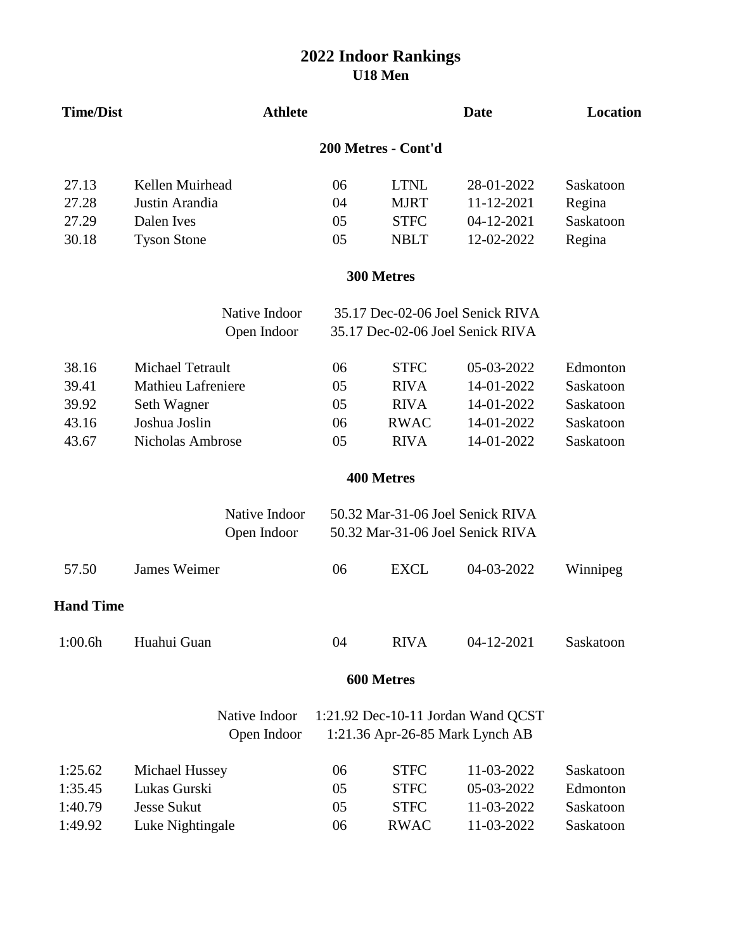| <b>Time/Dist</b> | <b>Athlete</b>               |    |                     | <b>Date</b>                                                          | Location  |  |  |  |
|------------------|------------------------------|----|---------------------|----------------------------------------------------------------------|-----------|--|--|--|
|                  |                              |    | 200 Metres - Cont'd |                                                                      |           |  |  |  |
| 27.13            | Kellen Muirhead              | 06 | <b>LTNL</b>         | 28-01-2022                                                           | Saskatoon |  |  |  |
| 27.28            | Justin Arandia               | 04 | <b>MJRT</b>         | 11-12-2021                                                           | Regina    |  |  |  |
| 27.29            | Dalen Ives                   | 05 | <b>STFC</b>         | 04-12-2021                                                           | Saskatoon |  |  |  |
| 30.18            | <b>Tyson Stone</b>           | 05 | <b>NBLT</b>         | 12-02-2022                                                           | Regina    |  |  |  |
|                  |                              |    | 300 Metres          |                                                                      |           |  |  |  |
|                  | Native Indoor                |    |                     | 35.17 Dec-02-06 Joel Senick RIVA                                     |           |  |  |  |
|                  | Open Indoor                  |    |                     | 35.17 Dec-02-06 Joel Senick RIVA                                     |           |  |  |  |
| 38.16            | <b>Michael Tetrault</b>      | 06 | <b>STFC</b>         | 05-03-2022                                                           | Edmonton  |  |  |  |
| 39.41            | <b>Mathieu Lafreniere</b>    | 05 | <b>RIVA</b>         | 14-01-2022                                                           | Saskatoon |  |  |  |
| 39.92            | Seth Wagner                  | 05 | <b>RIVA</b>         | 14-01-2022                                                           | Saskatoon |  |  |  |
| 43.16            | Joshua Joslin                | 06 | <b>RWAC</b>         | 14-01-2022                                                           | Saskatoon |  |  |  |
| 43.67            | Nicholas Ambrose             | 05 | <b>RIVA</b>         | 14-01-2022                                                           | Saskatoon |  |  |  |
|                  |                              |    | 400 Metres          |                                                                      |           |  |  |  |
|                  | Native Indoor<br>Open Indoor |    |                     | 50.32 Mar-31-06 Joel Senick RIVA<br>50.32 Mar-31-06 Joel Senick RIVA |           |  |  |  |
| 57.50            | <b>James Weimer</b>          | 06 | <b>EXCL</b>         | 04-03-2022                                                           | Winnipeg  |  |  |  |
| <b>Hand Time</b> |                              |    |                     |                                                                      |           |  |  |  |
| 1:00.6h          | Huahui Guan                  | 04 | <b>RIVA</b>         | 04-12-2021                                                           | Saskatoon |  |  |  |
|                  | 600 Metres                   |    |                     |                                                                      |           |  |  |  |
|                  | Native Indoor                |    |                     | 1:21.92 Dec-10-11 Jordan Wand QCST                                   |           |  |  |  |
|                  | Open Indoor                  |    |                     | 1:21.36 Apr-26-85 Mark Lynch AB                                      |           |  |  |  |
| 1:25.62          | Michael Hussey               | 06 | <b>STFC</b>         | 11-03-2022                                                           | Saskatoon |  |  |  |
| 1:35.45          | Lukas Gurski                 | 05 | <b>STFC</b>         | 05-03-2022                                                           | Edmonton  |  |  |  |
| 1:40.79          | <b>Jesse Sukut</b>           | 05 | <b>STFC</b>         | 11-03-2022                                                           | Saskatoon |  |  |  |
| 1:49.92          | Luke Nightingale             | 06 | <b>RWAC</b>         | 11-03-2022                                                           | Saskatoon |  |  |  |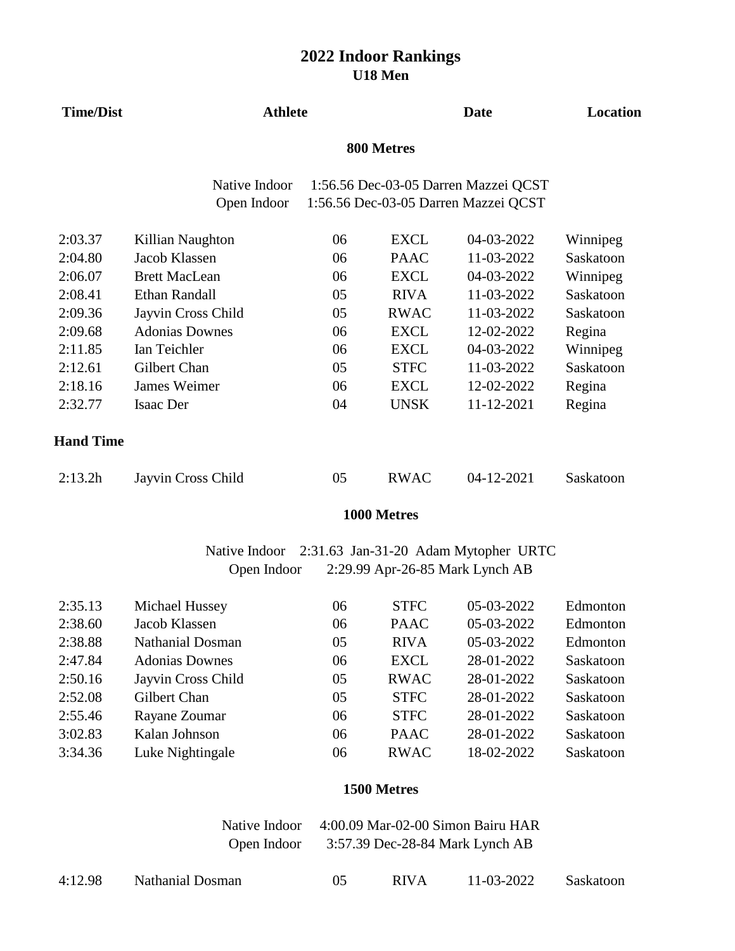| <b>Time/Dist</b> | <b>Athlete</b>        |    |             | <b>Date</b>                          | Location  |
|------------------|-----------------------|----|-------------|--------------------------------------|-----------|
|                  |                       |    |             |                                      |           |
|                  | Native Indoor         |    |             | 1:56.56 Dec-03-05 Darren Mazzei QCST |           |
|                  | Open Indoor           |    |             | 1:56.56 Dec-03-05 Darren Mazzei QCST |           |
| 2:03.37          | Killian Naughton      | 06 | <b>EXCL</b> | 04-03-2022                           | Winnipeg  |
| 2:04.80          | Jacob Klassen         | 06 | <b>PAAC</b> | 11-03-2022                           | Saskatoon |
| 2:06.07          | <b>Brett MacLean</b>  | 06 | <b>EXCL</b> | 04-03-2022                           | Winnipeg  |
| 2:08.41          | <b>Ethan Randall</b>  | 05 | <b>RIVA</b> | 11-03-2022                           | Saskatoon |
| 2:09.36          | Jayvin Cross Child    | 05 | <b>RWAC</b> | 11-03-2022                           | Saskatoon |
| 2:09.68          | <b>Adonias Downes</b> | 06 | <b>EXCL</b> | 12-02-2022                           | Regina    |
| 2:11.85          | Ian Teichler          | 06 | <b>EXCL</b> | 04-03-2022                           | Winnipeg  |
| 2:12.61          | Gilbert Chan          | 05 | <b>STFC</b> | 11-03-2022                           | Saskatoon |
| 2:18.16          | James Weimer          | 06 | <b>EXCL</b> | 12-02-2022                           | Regina    |
| 2:32.77          | <b>Isaac Der</b>      | 04 | <b>UNSK</b> | 11-12-2021                           | Regina    |
| <b>Hand Time</b> |                       |    |             |                                      |           |
| 2:13.2h          | Jayvin Cross Child    | 05 | <b>RWAC</b> | 04-12-2021                           | Saskatoon |

#### **1000 Metres**

Native Indoor 2:31.63 Jan-31-20 Adam Mytopher URTC 2:29.99 Apr-26-85 Mark Lynch AB

| 2:35.13 | Michael Hussey          | 06 | <b>STFC</b> | 05-03-2022 | Edmonton  |
|---------|-------------------------|----|-------------|------------|-----------|
| 2:38.60 | Jacob Klassen           | 06 | <b>PAAC</b> | 05-03-2022 | Edmonton  |
| 2:38.88 | <b>Nathanial Dosman</b> | 05 | <b>RIVA</b> | 05-03-2022 | Edmonton  |
| 2:47.84 | <b>Adonias Downes</b>   | 06 | <b>EXCL</b> | 28-01-2022 | Saskatoon |
| 2:50.16 | Jayvin Cross Child      | 05 | <b>RWAC</b> | 28-01-2022 | Saskatoon |
| 2:52.08 | Gilbert Chan            | 05 | <b>STFC</b> | 28-01-2022 | Saskatoon |
| 2:55.46 | Rayane Zoumar           | 06 | <b>STFC</b> | 28-01-2022 | Saskatoon |
| 3:02.83 | Kalan Johnson           | 06 | <b>PAAC</b> | 28-01-2022 | Saskatoon |
| 3:34.36 | Luke Nightingale        | 06 | <b>RWAC</b> | 18-02-2022 | Saskatoon |
|         |                         |    |             |            |           |

#### **1500 Metres**

Open Indoor 3:57.39 Dec-28-84 Mark Lynch AB Native Indoor 4:00.09 Mar-02-00 Simon Bairu HAR

| 4:12.98 | <b>Nathanial Dosman</b> | <b>RIVA</b> | 11-03-2022 | Saskatoon |
|---------|-------------------------|-------------|------------|-----------|
|         |                         |             |            |           |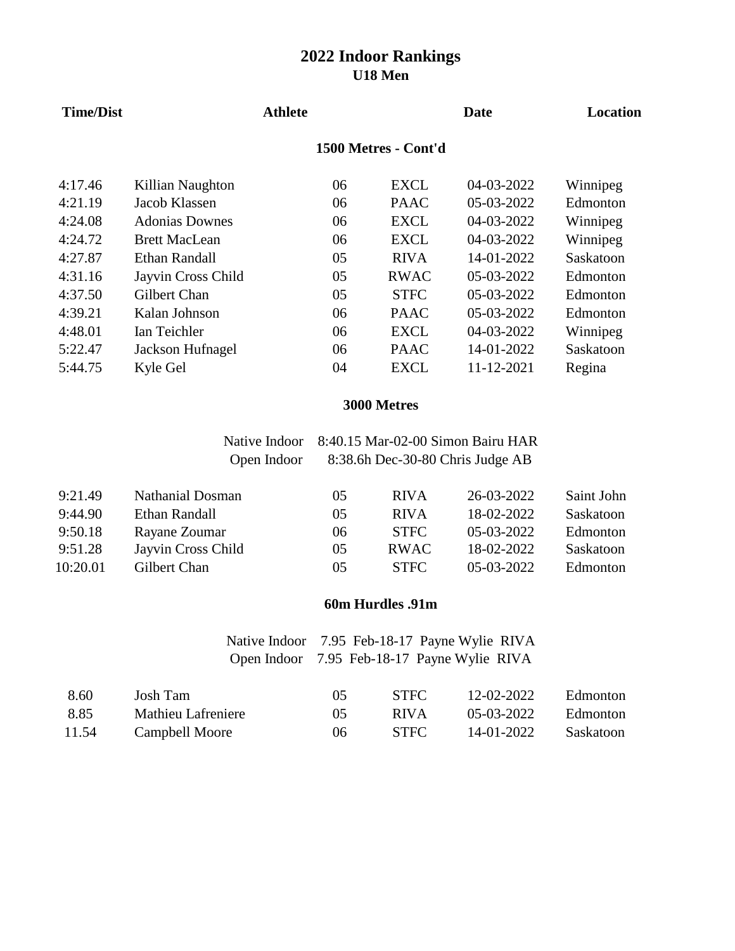| <b>Time/Dist</b> |                       | <b>Athlete</b> |    |                      | Date       | Location  |
|------------------|-----------------------|----------------|----|----------------------|------------|-----------|
|                  |                       |                |    | 1500 Metres - Cont'd |            |           |
| 4:17.46          | Killian Naughton      |                | 06 | EXCL                 | 04-03-2022 | Winnipeg  |
| 4:21.19          | Jacob Klassen         |                | 06 | <b>PAAC</b>          | 05-03-2022 | Edmonton  |
| 4:24.08          | <b>Adonias Downes</b> |                | 06 | <b>EXCL</b>          | 04-03-2022 | Winnipeg  |
| 4:24.72          | <b>Brett MacLean</b>  |                | 06 | <b>EXCL</b>          | 04-03-2022 | Winnipeg  |
| 4:27.87          | Ethan Randall         |                | 05 | <b>RIVA</b>          | 14-01-2022 | Saskatoon |
| 4:31.16          | Jayvin Cross Child    |                | 05 | <b>RWAC</b>          | 05-03-2022 | Edmonton  |
| 4:37.50          | Gilbert Chan          |                | 05 | <b>STFC</b>          | 05-03-2022 | Edmonton  |
| 4:39.21          | Kalan Johnson         |                | 06 | <b>PAAC</b>          | 05-03-2022 | Edmonton  |
| 4:48.01          | Ian Teichler          |                | 06 | <b>EXCL</b>          | 04-03-2022 | Winnipeg  |
| 5:22.47          | Jackson Hufnagel      |                | 06 | <b>PAAC</b>          | 14-01-2022 | Saskatoon |
| 5:44.75          | Kyle Gel              |                | 04 | <b>EXCL</b>          | 11-12-2021 | Regina    |
|                  |                       |                |    |                      |            |           |

#### **3000 Metres**

|          | Native Indoor           | 8:40.15 Mar-02-00 Simon Bairu HAR |             |            |            |
|----------|-------------------------|-----------------------------------|-------------|------------|------------|
|          | Open Indoor             | 8:38.6h Dec-30-80 Chris Judge AB  |             |            |            |
| 9:21.49  | <b>Nathanial Dosman</b> | 05                                | <b>RIVA</b> | 26-03-2022 | Saint John |
| 9:44.90  | Ethan Randall           | 05                                | <b>RIVA</b> | 18-02-2022 | Saskatoon  |
| 9:50.18  | Rayane Zoumar           | 06                                | <b>STFC</b> | 05-03-2022 | Edmonton   |
| 9:51.28  | Jayvin Cross Child      | 05                                | <b>RWAC</b> | 18-02-2022 | Saskatoon  |
| 10:20.01 | Gilbert Chan            | 05                                | <b>STFC</b> | 05-03-2022 | Edmonton   |

## **60m Hurdles .91m**

Native Indoor 7.95 Feb-18-17 Payne Wylie RIVA Open Indoor 7.95 Feb-18-17 Payne Wylie RIVA

| 8.60  | Josh Tam           | 05 | <b>STEC</b> | 12-02-2022          | Edmonton  |
|-------|--------------------|----|-------------|---------------------|-----------|
| 8.85  | Mathieu Lafreniere | 05 | <b>RIVA</b> | $0.5 - 0.3 - 20.22$ | Edmonton  |
| 11.54 | Campbell Moore     | 06 | <b>STFC</b> | 14-01-2022          | Saskatoon |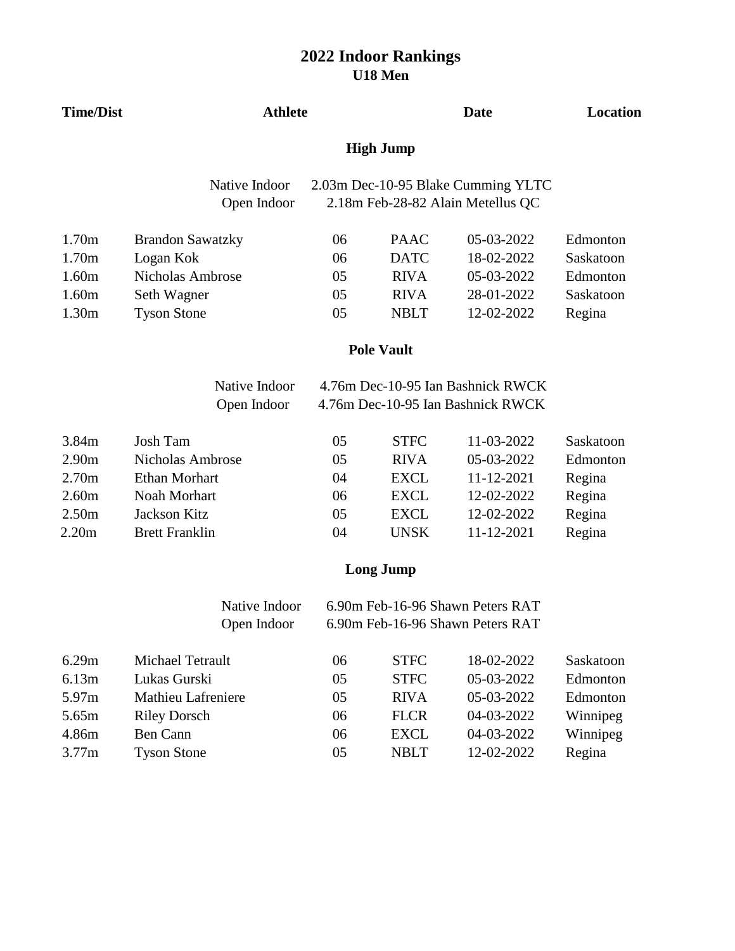| <b>Time/Dist</b>  | <b>Athlete</b>               |                  | <b>Date</b>       | Location                                                                |           |
|-------------------|------------------------------|------------------|-------------------|-------------------------------------------------------------------------|-----------|
|                   |                              | <b>High Jump</b> |                   |                                                                         |           |
|                   | Native Indoor<br>Open Indoor |                  |                   | 2.03m Dec-10-95 Blake Cumming YLTC<br>2.18m Feb-28-82 Alain Metellus QC |           |
| 1.70m             | <b>Brandon Sawatzky</b>      | 06               | <b>PAAC</b>       | 05-03-2022                                                              | Edmonton  |
| 1.70m             | Logan Kok                    | 06               | <b>DATC</b>       | 18-02-2022                                                              | Saskatoon |
| 1.60m             | <b>Nicholas Ambrose</b>      | 05               | <b>RIVA</b>       | 05-03-2022                                                              | Edmonton  |
| 1.60m             | Seth Wagner                  | 05               | <b>RIVA</b>       | 28-01-2022                                                              | Saskatoon |
| 1.30m             | <b>Tyson Stone</b>           | 05               | <b>NBLT</b>       | 12-02-2022                                                              | Regina    |
|                   |                              |                  | <b>Pole Vault</b> |                                                                         |           |
|                   | Native Indoor                |                  |                   | 4.76m Dec-10-95 Ian Bashnick RWCK                                       |           |
|                   | Open Indoor                  |                  |                   | 4.76m Dec-10-95 Ian Bashnick RWCK                                       |           |
| 3.84m             | <b>Josh Tam</b>              | 05               | <b>STFC</b>       | 11-03-2022                                                              | Saskatoon |
| 2.90 <sub>m</sub> | <b>Nicholas Ambrose</b>      | 05               | <b>RIVA</b>       | 05-03-2022                                                              | Edmonton  |
| 2.70 <sub>m</sub> | <b>Ethan Morhart</b>         | 04               | <b>EXCL</b>       | 11-12-2021                                                              | Regina    |
| 2.60m             | Noah Morhart                 | 06               | <b>EXCL</b>       | 12-02-2022                                                              | Regina    |
| 2.50 <sub>m</sub> | Jackson Kitz                 | 05               | <b>EXCL</b>       | 12-02-2022                                                              | Regina    |
| 2.20m             | <b>Brett Franklin</b>        | 04               | <b>UNSK</b>       | 11-12-2021                                                              | Regina    |
|                   |                              |                  | <b>Long Jump</b>  |                                                                         |           |
|                   | Native Indoor                |                  |                   | 6.90m Feb-16-96 Shawn Peters RAT                                        |           |
|                   | Open Indoor                  |                  |                   | 6.90m Feb-16-96 Shawn Peters RAT                                        |           |
| 6.29m             | Michael Tetrault             | 06               | <b>STFC</b>       | 18-02-2022                                                              | Saskatoon |
| 6.13m             | Lukas Gurski                 | 05               | <b>STFC</b>       | 05-03-2022                                                              | Edmonton  |
| 5.97m             | Mathieu Lafreniere           | 05               | <b>RIVA</b>       | 05-03-2022                                                              | Edmonton  |
| 5.65m             | <b>Riley Dorsch</b>          | 06               | <b>FLCR</b>       | 04-03-2022                                                              | Winnipeg  |
| 4.86m             | <b>Ben Cann</b>              | 06               | <b>EXCL</b>       | 04-03-2022                                                              | Winnipeg  |
| 3.77m             | <b>Tyson Stone</b>           | 05               | <b>NBLT</b>       | 12-02-2022                                                              | Regina    |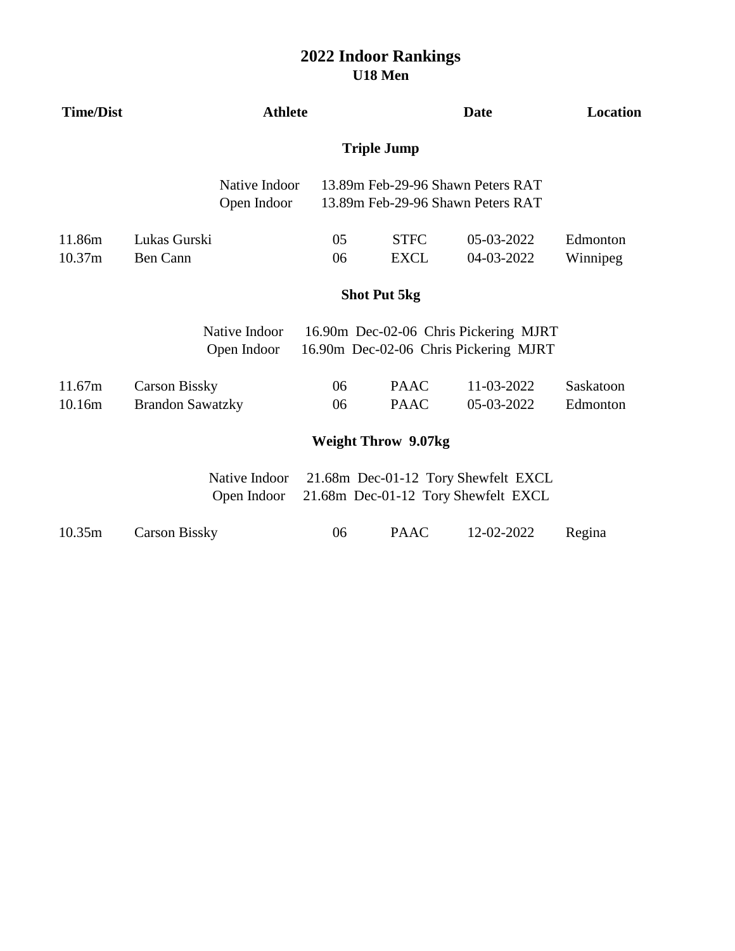## **U18 Men 2022 Indoor Rankings**

| <b>Time/Dist</b>                                                                                           | <b>Athlete</b>                                  |          |                            | <b>Date</b>                                                                    |                       |  |  |  |
|------------------------------------------------------------------------------------------------------------|-------------------------------------------------|----------|----------------------------|--------------------------------------------------------------------------------|-----------------------|--|--|--|
|                                                                                                            | <b>Triple Jump</b>                              |          |                            |                                                                                |                       |  |  |  |
|                                                                                                            | Native Indoor<br>Open Indoor                    |          |                            | 13.89m Feb-29-96 Shawn Peters RAT<br>13.89m Feb-29-96 Shawn Peters RAT         |                       |  |  |  |
| 11.86m<br>10.37m                                                                                           | Lukas Gurski<br><b>Ben Cann</b>                 | 05<br>06 | <b>STFC</b><br><b>EXCL</b> | 05-03-2022<br>04-03-2022                                                       | Edmonton<br>Winnipeg  |  |  |  |
|                                                                                                            | <b>Shot Put 5kg</b>                             |          |                            |                                                                                |                       |  |  |  |
|                                                                                                            | Native Indoor<br>Open Indoor                    |          |                            | 16.90m Dec-02-06 Chris Pickering MJRT<br>16.90m Dec-02-06 Chris Pickering MJRT |                       |  |  |  |
| 11.67m<br>10.16m                                                                                           | <b>Carson Bissky</b><br><b>Brandon Sawatzky</b> | 06<br>06 | <b>PAAC</b><br><b>PAAC</b> | 11-03-2022<br>05-03-2022                                                       | Saskatoon<br>Edmonton |  |  |  |
|                                                                                                            |                                                 |          | <b>Weight Throw 9.07kg</b> |                                                                                |                       |  |  |  |
| Native Indoor<br>21.68m Dec-01-12 Tory Shewfelt EXCL<br>Open Indoor<br>21.68m Dec-01-12 Tory Shewfelt EXCL |                                                 |          |                            |                                                                                |                       |  |  |  |
| 10.35m                                                                                                     | <b>Carson Bissky</b>                            | 06       | <b>PAAC</b>                | 12-02-2022                                                                     | Regina                |  |  |  |